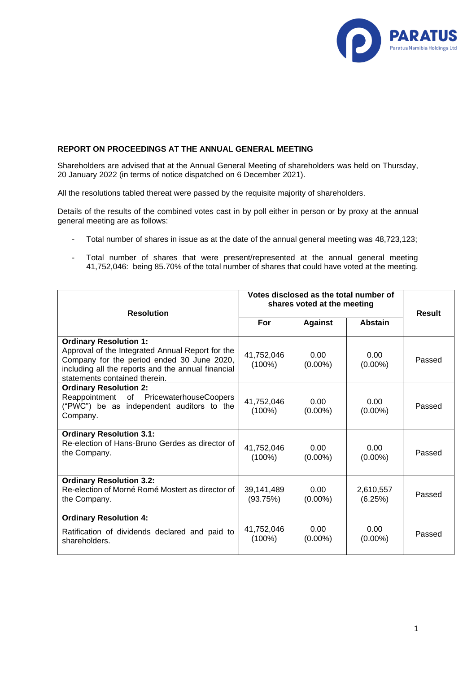

## **REPORT ON PROCEEDINGS AT THE ANNUAL GENERAL MEETING**

Shareholders are advised that at the Annual General Meeting of shareholders was held on Thursday, 20 January 2022 (in terms of notice dispatched on 6 December 2021).

All the resolutions tabled thereat were passed by the requisite majority of shareholders.

Details of the results of the combined votes cast in by poll either in person or by proxy at the annual general meeting are as follows:

- Total number of shares in issue as at the date of the annual general meeting was 48,723,123;
- Total number of shares that were present/represented at the annual general meeting 41,752,046: being 85.70% of the total number of shares that could have voted at the meeting.

| <b>Resolution</b>                                                                                                                                                                                                      | Votes disclosed as the total number of<br>shares voted at the meeting |                        |                      | <b>Result</b> |
|------------------------------------------------------------------------------------------------------------------------------------------------------------------------------------------------------------------------|-----------------------------------------------------------------------|------------------------|----------------------|---------------|
|                                                                                                                                                                                                                        | For                                                                   | <b>Against</b>         | <b>Abstain</b>       |               |
| <b>Ordinary Resolution 1:</b><br>Approval of the Integrated Annual Report for the<br>Company for the period ended 30 June 2020,<br>including all the reports and the annual financial<br>statements contained therein. | 41,752,046<br>$(100\%)$                                               | 0.00<br>$(0.00\%)$     | 0.00<br>$(0.00\%)$   | Passed        |
| <b>Ordinary Resolution 2:</b><br>Reappointment of PricewaterhouseCoopers<br>("PWC") be as independent auditors to the<br>Company.                                                                                      | 41,752,046<br>(100%)                                                  | $0.00 -$<br>$(0.00\%)$ | 0.00<br>$(0.00\%)$   | Passed        |
| <b>Ordinary Resolution 3.1:</b><br>Re-election of Hans-Bruno Gerdes as director of<br>the Company.                                                                                                                     | 41,752,046<br>$(100\%)$                                               | 0.00<br>$(0.00\%)$     | 0.00<br>$(0.00\%)$   | Passed        |
| <b>Ordinary Resolution 3.2:</b><br>Re-election of Morné Romé Mostert as director of<br>the Company.                                                                                                                    | 39,141,489<br>(93.75%)                                                | 0.00<br>$(0.00\%)$     | 2,610,557<br>(6.25%) | Passed        |
| <b>Ordinary Resolution 4:</b><br>Ratification of dividends declared and paid to<br>shareholders.                                                                                                                       | 41,752,046<br>$(100\%)$                                               | 0.00<br>$(0.00\%)$     | 0.00<br>$(0.00\%)$   | Passed        |